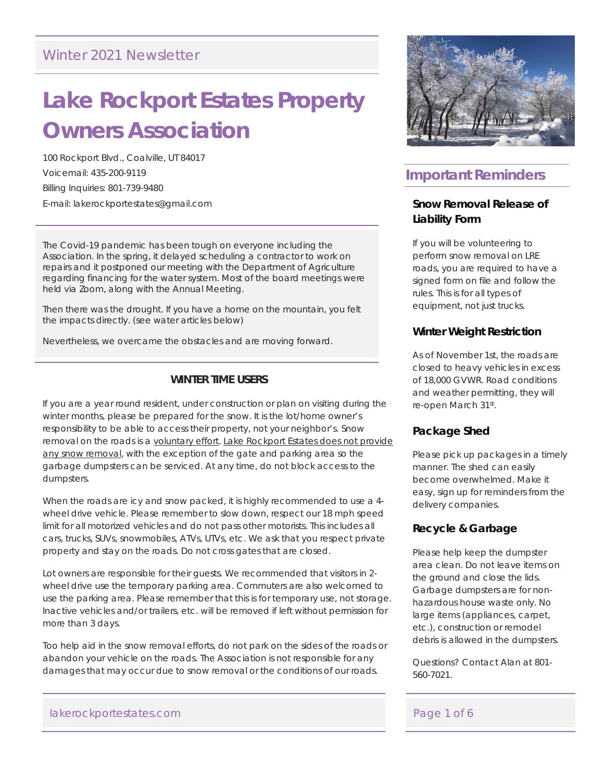### Winter 2021 Newsletter

# **Lake Rockport Estates Property Owners Association**

100 Rockport Blvd., Coalville, UT 84017 Voicemail: 435-200-9119 Billing Inquiries: 801-739-9480 E-mail: lakerockportestates@gmail.com

The Covid-19 pandemic has been tough on everyone including the Association. In the spring, it delayed scheduling a contractor to work on repairs and it postponed our meeting with the Department of Agriculture regarding financing for the water system. Most of the board meetings were held via Zoom, along with the Annual Meeting.

Then there was the drought. If you have a home on the mountain, you felt the impacts directly. (see water articles below)

Nevertheless, we overcame the obstacles and are moving forward.

### **WINTER TIME USERS**

If you are a year round resident, under construction or plan on visiting during the winter months, please be prepared for the snow. It is the lot/home owner's responsibility to be able to access their property, not your neighbor's. Snow removal on the roads is a voluntary effort. Lake Rockport Estates does not provide any snow removal, with the exception of the gate and parking area so the garbage dumpsters can be serviced. At any time, do not block access to the dumpsters.

When the roads are icy and snow packed, it is highly recommended to use a 4 wheel drive vehicle. Please remember to slow down, respect our 18 mph speed limit for all motorized vehicles and do not pass other motorists. This includes all cars, trucks, SUVs, snowmobiles, ATVs, UTVs, etc. We ask that you respect private property and stay on the roads. Do not cross gates that are closed.

Lot owners are responsible for their guests. We recommended that visitors in 2 wheel drive use the temporary parking area. Commuters are also welcomed to use the parking area. Please remember that this is for temporary use, not storage. Inactive vehicles and/or trailers, etc. will be removed if left without permission for more than 3 days.

Too help aid in the snow removal efforts, do not park on the sides of the roads or abandon your vehicle on the roads. The Association is not responsible for any damages that may occur due to snow removal or the conditions of our roads.

#### lakerockportestates.com and a set of 6 set of 6 set of 6 set of 6 set of 6 set of 6 set of 6 set of 6 set of 6



## **Important Reminders**

### **Snow Removal Release of Liability Form**

If you will be volunteering to perform snow removal on LRE roads, you are required to have a signed form on file and follow the rules. This is for all types of equipment, not just trucks.

### **Winter Weight Restriction**

As of November 1st, the roads are closed to heavy vehicles in excess of 18,000 GVWR. Road conditions and weather permitting, they will re-open March 31st.

### **Package Shed**

Please pick up packages in a timely manner. The shed can easily become overwhelmed. Make it easy, sign up for reminders from the delivery companies.

### **Recycle & Garbage**

Please help keep the dumpster area clean. Do not leave items on the ground and close the lids. Garbage dumpsters are for nonhazardous house waste only. No large items (appliances, carpet, etc.), construction or remodel debris is allowed in the dumpsters.

Questions? Contact Alan at 801- 560-7021.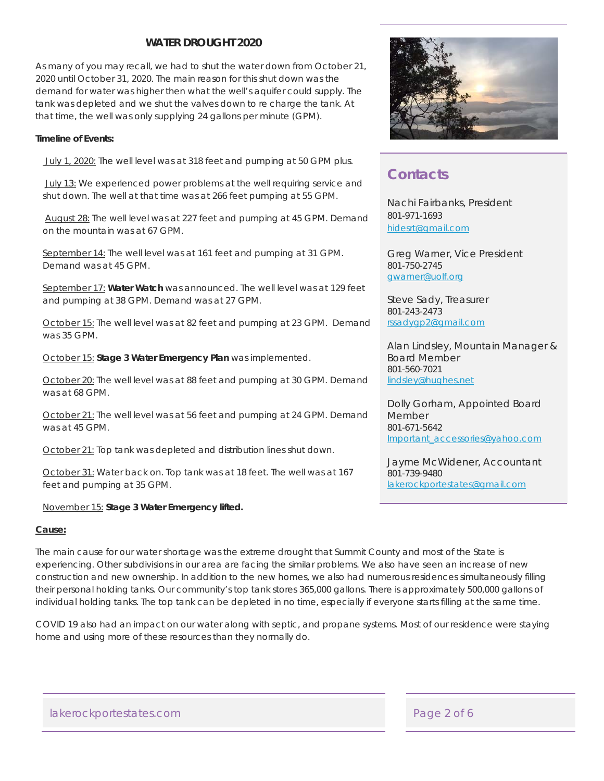### **WATER DROUGHT 2020**

As many of you may recall, we had to shut the water down from October 21, 2020 until October 31, 2020. The main reason for this shut down was the demand for water was higher then what the well's aquifer could supply. The tank was depleted and we shut the valves down to re charge the tank. At that time, the well was only supplying 24 gallons per minute (GPM).

#### **Timeline of Events:**

July 1, 2020: The well level was at 318 feet and pumping at 50 GPM plus.

July 13: We experienced power problems at the well requiring service and shut down. The well at that time was at 266 feet pumping at 55 GPM.

 August 28: The well level was at 227 feet and pumping at 45 GPM. Demand on the mountain was at 67 GPM.

September 14: The well level was at 161 feet and pumping at 31 GPM. Demand was at 45 GPM.

September 17: **Water Watch** was announced. The well level was at 129 feet and pumping at 38 GPM. Demand was at 27 GPM.

October 15: The well level was at 82 feet and pumping at 23 GPM. Demand was 35 GPM.

October 15: **Stage 3 Water Emergency Plan** was implemented.

October 20: The well level was at 88 feet and pumping at 30 GPM. Demand was at 68 GPM.

October 21: The well level was at 56 feet and pumping at 24 GPM. Demand was at 45 GPM.

October 21: Top tank was depleted and distribution lines shut down.

October 31: Water back on. Top tank was at 18 feet. The well was at 167 feet and pumping at 35 GPM.

### November 15: **Stage 3 Water Emergency lifted.**

#### **Cause:**

The main cause for our water shortage was the extreme drought that Summit County and most of the State is experiencing. Other subdivisions in our area are facing the similar problems. We also have seen an increase of new construction and new ownership. In addition to the new homes, we also had numerous residences simultaneously filling their personal holding tanks. Our community's top tank stores 365,000 gallons. There is approximately 500,000 gallons of individual holding tanks. The top tank can be depleted in no time, especially if everyone starts filling at the same time.

COVID 19 also had an impact on our water along with septic, and propane systems. Most of our residence were staying home and using more of these resources than they normally do.



### **Contacts**

Nachi Fairbanks, President 801-971-1693 hidesrt@gmail.com

Greg Warner, Vice President 801-750-2745 gwarner@uolf.org

Steve Sady, Treasurer 801-243-2473 rssadygp2@gmail.com

Alan Lindsley, Mountain Manager & Board Member 801-560-7021 lindsley@hughes.net

Dolly Gorham, Appointed Board Member 801-671-5642 Important\_accessories@yahoo.com

Jayme McWidener, Accountant 801-739-9480 lakerockportestates@gmail.com

lakerockportestates.com experience and a page 2 of 6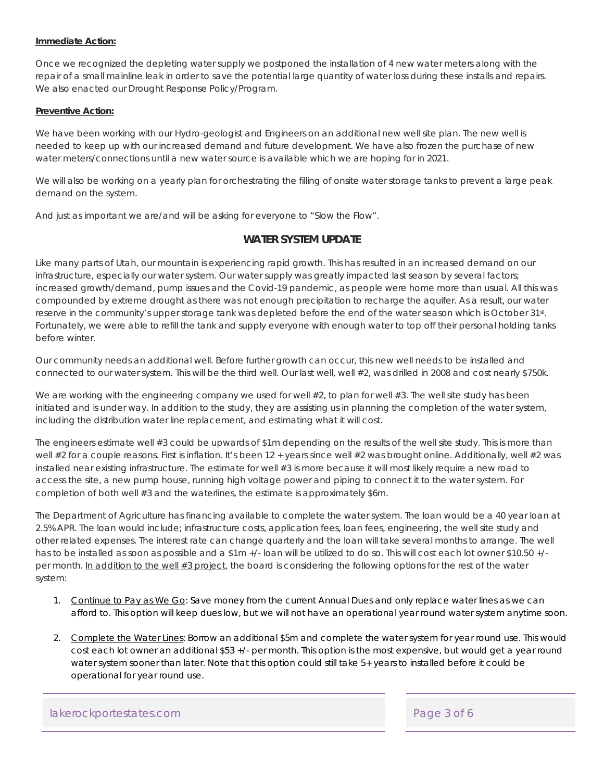#### **Immediate Action:**

Once we recognized the depleting water supply we postponed the installation of 4 new water meters along with the repair of a small mainline leak in order to save the potential large quantity of water loss during these installs and repairs. We also enacted our Drought Response Policy/Program.

#### **Preventive Action:**

We have been working with our Hydro-geologist and Engineers on an additional new well site plan. The new well is needed to keep up with our increased demand and future development. We have also frozen the purchase of new water meters/connections until a new water source is available which we are hoping for in 2021.

We will also be working on a yearly plan for orchestrating the filling of onsite water storage tanks to prevent a large peak demand on the system.

And just as important we are/and will be asking for everyone to "Slow the Flow".

### **WATER SYSTEM UPDATE**

Like many parts of Utah, our mountain is experiencing rapid growth. This has resulted in an increased demand on our infrastructure, especially our water system. Our water supply was greatly impacted last season by several factors; increased growth/demand, pump issues and the Covid-19 pandemic, as people were home more than usual. All this was compounded by extreme drought as there was not enough precipitation to recharge the aquifer. As a result, our water reserve in the community's upper storage tank was depleted before the end of the water season which is October 31st. Fortunately, we were able to refill the tank and supply everyone with enough water to top off their personal holding tanks before winter.

Our community needs an additional well. Before further growth can occur, this new well needs to be installed and connected to our water system. This will be the third well. Our last well, well #2, was drilled in 2008 and cost nearly \$750k.

We are working with the engineering company we used for well #2, to plan for well #3. The well site study has been initiated and is under way. In addition to the study, they are assisting us in planning the completion of the water system, including the distribution water line replacement, and estimating what it will cost.

The engineers estimate well #3 could be upwards of \$1m depending on the results of the well site study. This is more than well #2 for a couple reasons. First is inflation. It's been 12 + years since well #2 was brought online. Additionally, well #2 was installed near existing infrastructure. The estimate for well #3 is more because it will most likely require a new road to access the site, a new pump house, running high voltage power and piping to connect it to the water system. For completion of both well #3 and the waterlines, the estimate is approximately \$6m.

The Department of Agriculture has financing available to complete the water system. The loan would be a 40 year loan at 2.5% APR. The loan would include; infrastructure costs, application fees, loan fees, engineering, the well site study and other related expenses. The interest rate can change quarterly and the loan will take several months to arrange. The well has to be installed as soon as possible and a \$1m +/- loan will be utilized to do so. This will cost each lot owner \$10.50 +/ per month. In addition to the well #3 project, the board is considering the following options for the rest of the water system:

- 1. Continue to Pay as We Go: Save money from the current Annual Dues and only replace water lines as we can afford to. This option will keep dues low, but we will not have an operational year round water system anytime soon.
- 2. Complete the Water Lines: Borrow an additional \$5m and complete the water system for year round use. This would cost each lot owner an additional \$53 +/- per month. This option is the most expensive, but would get a year round water system sooner than later. Note that this option could still take 5+ years to installed before it could be operational for year round use.

lakerockportestates.com Page 3 of 6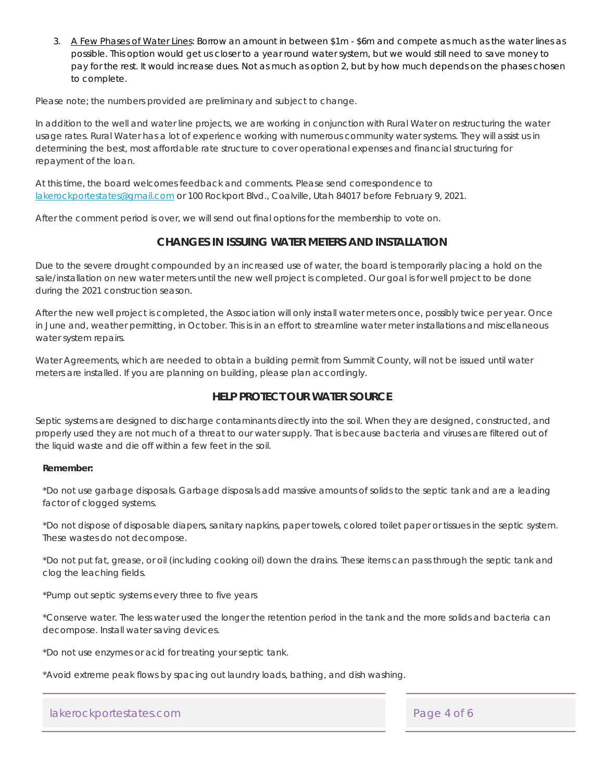3. A Few Phases of Water Lines: Borrow an amount in between \$1m - \$6m and compete as much as the water lines as possible. This option would get us closer to a year round water system, but we would still need to save money to pay for the rest. It would increase dues. Not as much as option 2, but by how much depends on the phases chosen to complete.

Please note; the numbers provided are preliminary and subject to change.

In addition to the well and water line projects, we are working in conjunction with Rural Water on restructuring the water usage rates. Rural Water has a lot of experience working with numerous community water systems. They will assist us in determining the best, most affordable rate structure to cover operational expenses and financial structuring for repayment of the loan.

At this time, the board welcomes feedback and comments. Please send correspondence to lakerockportestates@gmail.com or 100 Rockport Blvd., Coalville, Utah 84017 before February 9, 2021.

After the comment period is over, we will send out final options for the membership to vote on.

### **CHANGES IN ISSUING WATER METERS AND INSTALLATION**

Due to the severe drought compounded by an increased use of water, the board is temporarily placing a hold on the sale/installation on new water meters until the new well project is completed. Our goal is for well project to be done during the 2021 construction season.

After the new well project is completed, the Association will only install water meters once, possibly twice per year. Once in June and, weather permitting, in October. This is in an effort to streamline water meter installations and miscellaneous water system repairs.

Water Agreements, which are needed to obtain a building permit from Summit County, will not be issued until water meters are installed. If you are planning on building, please plan accordingly.

### **HELP PROTECT OUR WATER SOURCE**

Septic systems are designed to discharge contaminants directly into the soil. When they are designed, constructed, and properly used they are not much of a threat to our water supply. That is because bacteria and viruses are filtered out of the liquid waste and die off within a few feet in the soil.

#### **Remember:**

\*Do not use garbage disposals. Garbage disposals add massive amounts of solids to the septic tank and are a leading factor of clogged systems.

\*Do not dispose of disposable diapers, sanitary napkins, paper towels, colored toilet paper or tissues in the septic system. These wastes do not decompose.

\*Do not put fat, grease, or oil (including cooking oil) down the drains. These items can pass through the septic tank and clog the leaching fields.

\*Pump out septic systems every three to five years

\*Conserve water. The less water used the longer the retention period in the tank and the more solids and bacteria can decompose. Install water saving devices.

\*Do not use enzymes or acid for treating your septic tank.

\*Avoid extreme peak flows by spacing out laundry loads, bathing, and dish washing.

### lakerockportestates.com experience and a page 4 of 6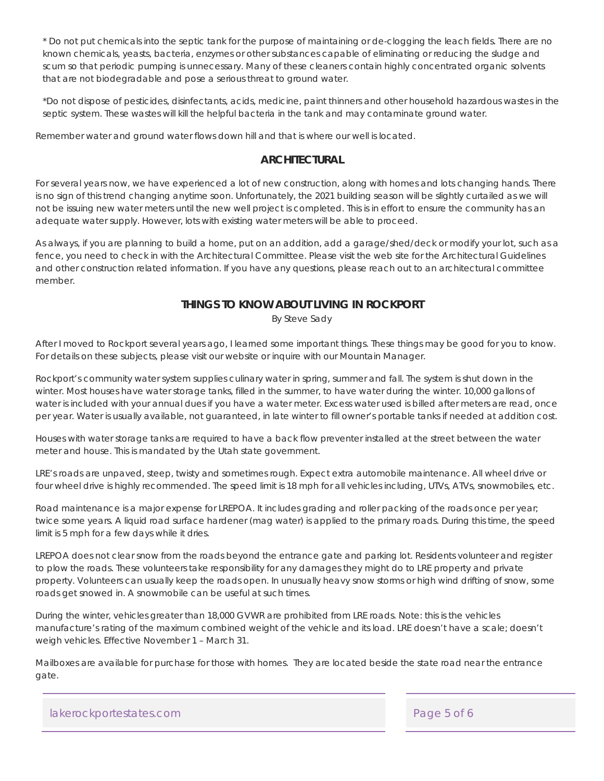\* Do not put chemicals into the septic tank for the purpose of maintaining or de-clogging the leach fields. There are no known chemicals, yeasts, bacteria, enzymes or other substances capable of eliminating or reducing the sludge and scum so that periodic pumping is unnecessary. Many of these cleaners contain highly concentrated organic solvents that are not biodegradable and pose a serious threat to ground water.

\*Do not dispose of pesticides, disinfectants, acids, medicine, paint thinners and other household hazardous wastes in the septic system. These wastes will kill the helpful bacteria in the tank and may contaminate ground water.

Remember water and ground water flows down hill and that is where our well is located.

### **ARCHITECTURAL**

For several years now, we have experienced a lot of new construction, along with homes and lots changing hands. There is no sign of this trend changing anytime soon. Unfortunately, the 2021 building season will be slightly curtailed as we will not be issuing new water meters until the new well project is completed. This is in effort to ensure the community has an adequate water supply. However, lots with existing water meters will be able to proceed.

As always, if you are planning to build a home, put on an addition, add a garage/shed/deck or modify your lot, such as a fence, you need to check in with the Architectural Committee. Please visit the web site for the Architectural Guidelines and other construction related information. If you have any questions, please reach out to an architectural committee member.

### **THINGS TO KNOW ABOUT LIVING IN ROCKPORT**

By Steve Sady

After I moved to Rockport several years ago, I learned some important things. These things may be good for you to know. For details on these subjects, please visit our website or inquire with our Mountain Manager.

Rockport's community water system supplies culinary water in spring, summer and fall. The system is shut down in the winter. Most houses have water storage tanks, filled in the summer, to have water during the winter. 10,000 gallons of water is included with your annual dues if you have a water meter. Excess water used is billed after meters are read, once per year. Water is usually available, not guaranteed, in late winter to fill owner's portable tanks if needed at addition cost.

Houses with water storage tanks are required to have a back flow preventer installed at the street between the water meter and house. This is mandated by the Utah state government.

LRE's roads are unpaved, steep, twisty and sometimes rough. Expect extra automobile maintenance. All wheel drive or four wheel drive is highly recommended. The speed limit is 18 mph for all vehicles including, UTVs, ATVs, snowmobiles, etc.

Road maintenance is a major expense for LREPOA. It includes grading and roller packing of the roads once per year; twice some years. A liquid road surface hardener (mag water) is applied to the primary roads. During this time, the speed limit is 5 mph for a few days while it dries.

LREPOA does not clear snow from the roads beyond the entrance gate and parking lot. Residents volunteer and register to plow the roads. These volunteers take responsibility for any damages they might do to LRE property and private property. Volunteers can usually keep the roads open. In unusually heavy snow storms or high wind drifting of snow, some roads get snowed in. A snowmobile can be useful at such times.

During the winter, vehicles greater than 18,000 GVWR are prohibited from LRE roads. Note: this is the vehicles manufacture's rating of the maximum combined weight of the vehicle and its load. LRE doesn't have a scale; doesn't weigh vehicles. Effective November 1 – March 31.

Mailboxes are available for purchase for those with homes. They are located beside the state road near the entrance gate.

lakerockportestates.com and a page 5 of 6